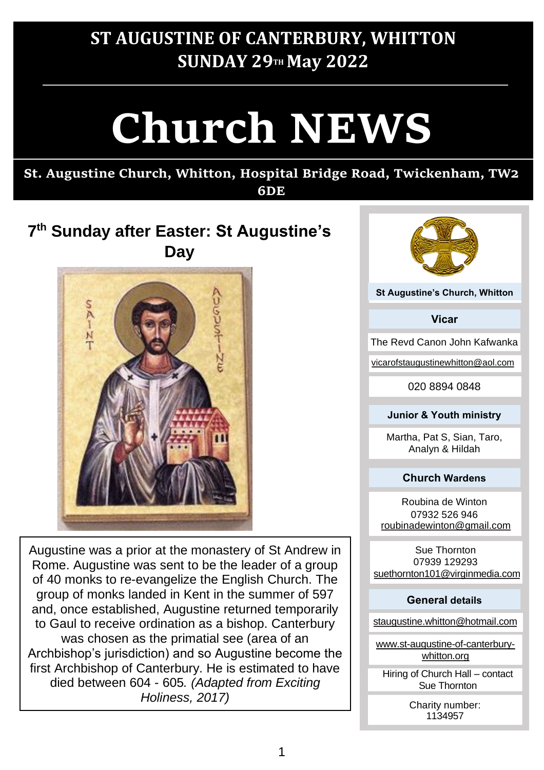# **ST AUGUSTINE OF CANTERBURY, WHITTON SUNDAY 29TH May 2022**

# **Church NEWS**

# **St. Augustine Church, Whitton, Hospital Bridge Road, Twickenham, TW2**

## **6DE**

## **7 th Sunday after Easter: St Augustine's Day**



Augustine was a prior at the monastery of St Andrew in Rome. Augustine was sent to be the leader of a group of 40 monks to re-evangelize the English Church. The group of monks landed in Kent in the summer of 597 and, once established, Augustine returned temporarily to Gaul to receive ordination as a bishop. Canterbury was chosen as the primatial see (area of an Archbishop's jurisdiction) and so Augustine become the first Archbishop of Canterbury. He is estimated to have died between 604 - 605*. (Adapted from Exciting Holiness, 2017)*



**St Augustine's Church, Whitton**

**Vicar**

The Revd Canon John Kafwanka

vicarofstaugustinewhitton@aol.com

020 8894 0848

#### **Junior & Youth ministry**

Martha, Pat S, Sian, Taro, Analyn & Hildah

#### **Church Wardens**

Roubina de Winton 07932 526 946 roubinadewinton@gmail.com

Sue Thornton 07939 129293 suethornton101@virginmedia.com

#### **General details**

staugustine.whitton@hotmail.com

www.st-augustine-of-canterburywhitton.org

Hiring of Church Hall – contact Sue Thornton

> Charity number: 1134957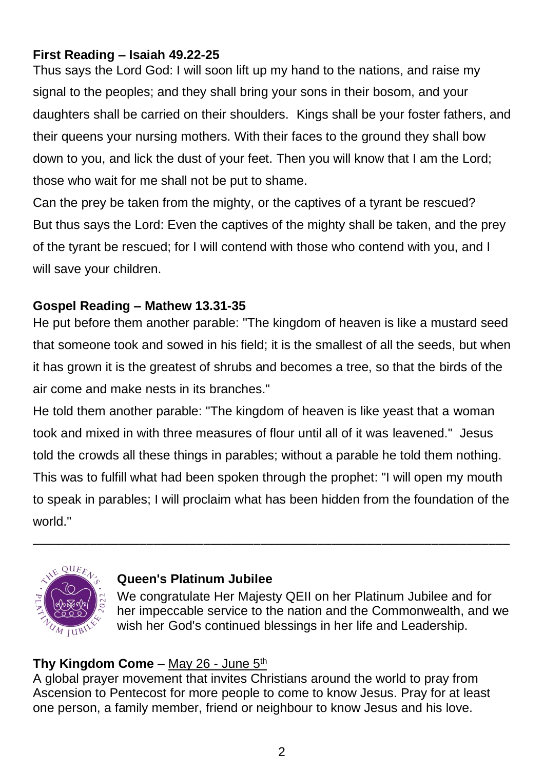#### **First Reading – Isaiah 49.22-25**

Thus says the Lord God: I will soon lift up my hand to the nations, and raise my signal to the peoples; and they shall bring your sons in their bosom, and your daughters shall be carried on their shoulders. Kings shall be your foster fathers, and their queens your nursing mothers. With their faces to the ground they shall bow down to you, and lick the dust of your feet. Then you will know that I am the Lord; those who wait for me shall not be put to shame.

Can the prey be taken from the mighty, or the captives of a tyrant be rescued? But thus says the Lord: Even the captives of the mighty shall be taken, and the prey of the tyrant be rescued; for I will contend with those who contend with you, and I will save your children.

#### **Gospel Reading – Mathew 13.31-35**

He put before them another parable: "The kingdom of heaven is like a mustard seed that someone took and sowed in his field; it is the smallest of all the seeds, but when it has grown it is the greatest of shrubs and becomes a tree, so that the birds of the air come and make nests in its branches."

He told them another parable: "The kingdom of heaven is like yeast that a woman took and mixed in with three measures of flour until all of it was leavened." Jesus told the crowds all these things in parables; without a parable he told them nothing. This was to fulfill what had been spoken through the prophet: "I will open my mouth to speak in parables; I will proclaim what has been hidden from the foundation of the world."

–––––––––––––––––––––––––––––––––––––––––––––––––––––––––––––––––––



#### **Queen's Platinum Jubilee**

We congratulate Her Majesty QEII on her Platinum Jubilee and for her impeccable service to the nation and the Commonwealth, and we wish her God's continued blessings in her life and Leadership.

#### Thy Kingdom Come - May 26 - June 5<sup>th</sup>

A global prayer movement that invites Christians around the world to pray from Ascension to Pentecost for more people to come to know Jesus. Pray for at least one person, a family member, friend or neighbour to know Jesus and his love.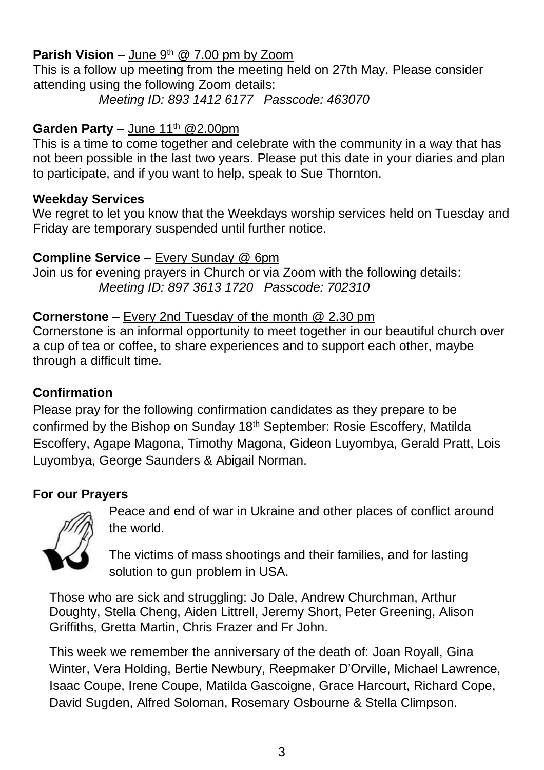#### **Parish Vision –** June 9<sup>th</sup> @ 7.00 pm by Zoom

This is a follow up meeting from the meeting held on 27th May. Please consider attending using the following Zoom details:

*Meeting ID: 893 1412 6177 Passcode: 463070*

#### **Garden Party** – June  $11^{th}$  @2.00pm

This is a time to come together and celebrate with the community in a way that has not been possible in the last two years. Please put this date in your diaries and plan to participate, and if you want to help, speak to Sue Thornton.

#### **Weekday Services**

We regret to let you know that the Weekdays worship services held on Tuesday and Friday are temporary suspended until further notice.

#### **Compline Service** – Every Sunday @ 6pm

Join us for evening prayers in Church or via Zoom with the following details: *Meeting ID: 897 3613 1720 Passcode: 702310*

#### **Cornerstone** – Every 2nd Tuesday of the month @ 2.30 pm

Cornerstone is an informal opportunity to meet together in our beautiful church over a cup of tea or coffee, to share experiences and to support each other, maybe through a difficult time.

#### **Confirmation**

Please pray for the following confirmation candidates as they prepare to be confirmed by the Bishop on Sunday 18th September: Rosie Escoffery, Matilda Escoffery, Agape Magona, Timothy Magona, Gideon Luyombya, Gerald Pratt, Lois Luyombya, George Saunders & Abigail Norman.

#### **For our Prayers**



Peace and end of war in Ukraine and other places of conflict around the world.

The victims of mass shootings and their families, and for lasting solution to gun problem in USA.

Those who are sick and struggling: Jo Dale, Andrew Churchman, Arthur Doughty, Stella Cheng, Aiden Littrell, Jeremy Short, Peter Greening, Alison Griffiths, Gretta Martin, Chris Frazer and Fr John.

This week we remember the anniversary of the death of: Joan Royall, Gina Winter, Vera Holding, Bertie Newbury, Reepmaker D'Orville, Michael Lawrence, Isaac Coupe, Irene Coupe, Matilda Gascoigne, Grace Harcourt, Richard Cope, David Sugden, Alfred Soloman, Rosemary Osbourne & Stella Climpson.